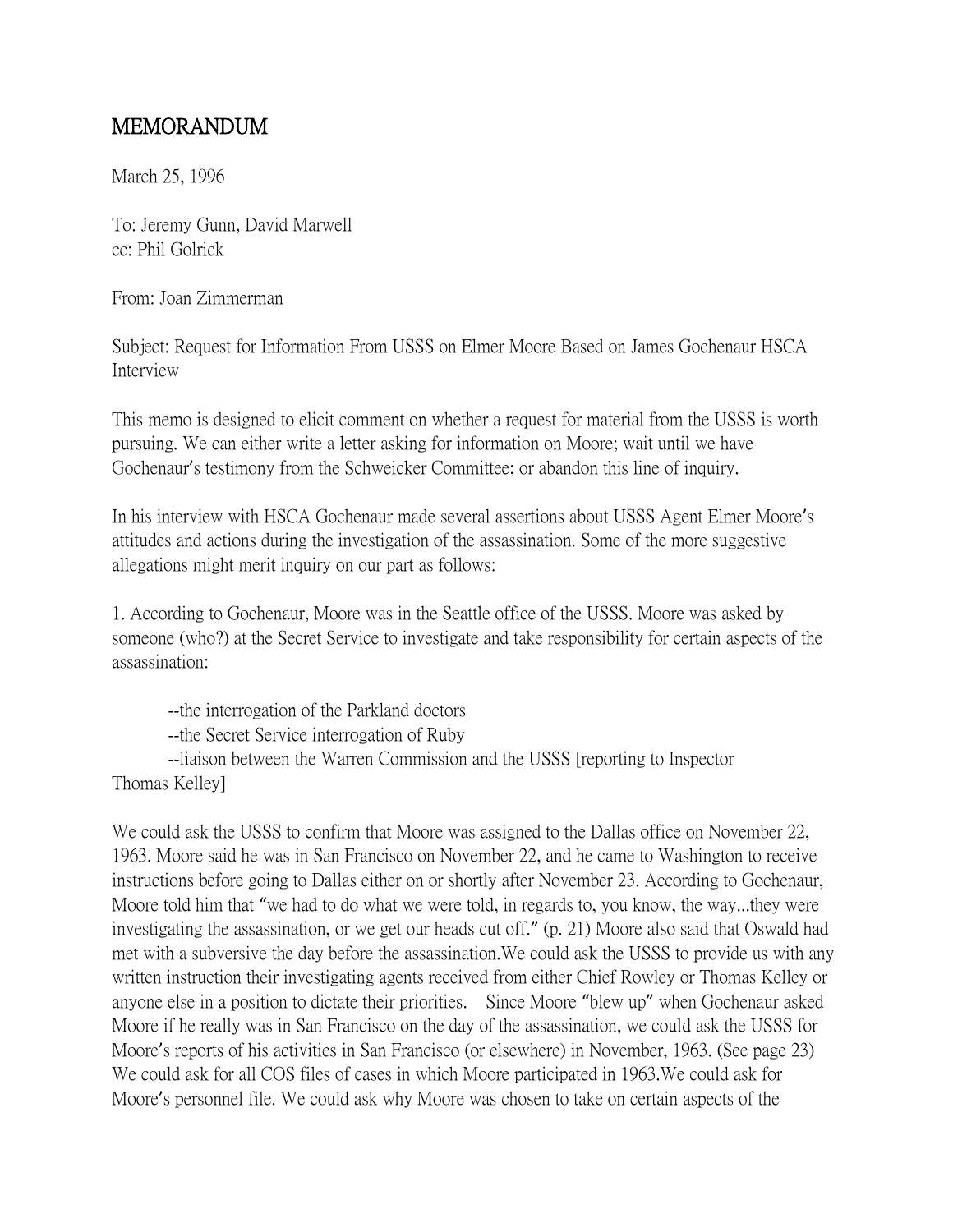## MEMORANDUM

March 25, 1996

To: Jeremy Gunn, David Marwell cc: Phil Golrick

From: Joan Zimmerman

Subject: Request for Information From USSS on Elmer Moore Based on James Gochenaur HSCA Interview

This memo is designed to elicit comment on whether a request for material from the USSS is worth pursuing. We can either write a letter asking for information on Moore; wait until we have Gochenaur's testimony from the Schweicker Committee; or abandon this line of inquiry.

In his interview with HSCA Gochenaur made several assertions about USSS Agent Elmer Moore's attitudes and actions during the investigation of the assassination. Some of the more suggestive allegations might merit inquiry on our part as follows:

1. According to Gochenaur, Moore was in the Seattle office of the USSS. Moore was asked by someone (who?) at the Secret Service to investigate and take responsibility for certain aspects of the assassination:

--the interrogation of the Parkland doctors --the Secret Service interrogation of Ruby --liaison between the Warren Commission and the USSS [reporting to Inspector Thomas Kelley]

We could ask the USSS to confirm that Moore was assigned to the Dallas office on November 22, 1963. Moore said he was in San Francisco on November 22, and he came to Washington to receive instructions before going to Dallas either on or shortly after November 23. According to Gochenaur, Moore told him that "we had to do what we were told, in regards to, you know, the way...they were investigating the assassination, or we get our heads cut off." (p. 21) Moore also said that Oswald had met with a subversive the day before the assassination.We could ask the USSS to provide us with any written instruction their investigating agents received from either Chief Rowley or Thomas Kelley or anyone else in a position to dictate their priorities. Since Moore "blew up" when Gochenaur asked Moore if he really was in San Francisco on the day of the assassination, we could ask the USSS for Moore's reports of his activities in San Francisco (or elsewhere) in November, 1963. (See page 23) We could ask for all COS files of cases in which Moore participated in 1963.We could ask for Moore's personnel file. We could ask why Moore was chosen to take on certain aspects of the